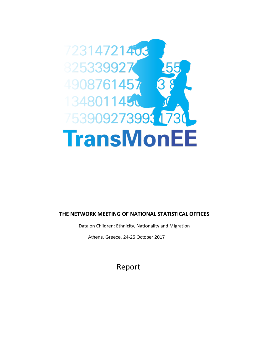

## **THE NETWORK MEETING OF NATIONAL STATISTICAL OFFICES**

Data on Children: Ethnicity, Nationality and Migration

Athens, Greece, 24-25 October 2017

Report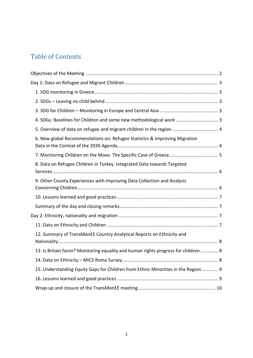# Table of Contents

| 4. SDGs: Baselines for Children and some new methodological work  3                 |  |
|-------------------------------------------------------------------------------------|--|
| 5. Overview of data on refugee and migrant children in the region.  4               |  |
| 6. New global Recommendations on: Refugee Statistics & Improving Migration          |  |
|                                                                                     |  |
| 8. Data on Refugee Children in Turkey. Integrated Data towards Targeted             |  |
| 9. Other County Experiences with Improving Data Collection and Analysis             |  |
|                                                                                     |  |
|                                                                                     |  |
|                                                                                     |  |
|                                                                                     |  |
| 12. Summary of TransMonEE Country Analytical Reports on Ethnicity and               |  |
| 13. Is Britain fairer? Monitoring equality and human rights progress for children 8 |  |
|                                                                                     |  |
| 15. Understanding Equity Gaps for Children from Ethnic Minorities in the Region 9   |  |
|                                                                                     |  |
|                                                                                     |  |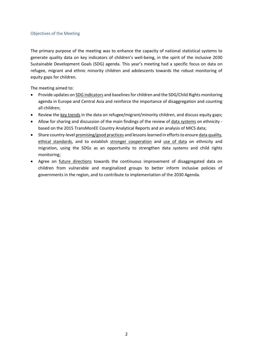#### <span id="page-2-0"></span>Objectives of the Meeting

The primary purpose of the meeting was to enhance the capacity of national statistical systems to generate quality data on key indicators of children's well-being, in the spirit of the inclusive 2030 Sustainable Development Goals (SDG) agenda. This year's meeting had a specific focus on data on refugee, migrant and ethnic minority children and adolescents towards the robust monitoring of equity gaps for children.

The meeting aimed to:

- Provide updates on SDG indicators and baselines for children and the SDG/Child Rights monitoring agenda in Europe and Central Asia and reinforce the importance of disaggregation and counting all children;
- Review the key trends in the data on refugee/migrant/minority children, and discuss equity gaps;
- Allow for sharing and discussion of the main findings of the review of data systems on ethnicity based on the 2015 TransMonEE Country Analytical Reports and an analysis of MICS data;
- Share country-level promising/good practices and lessons learned in efforts to ensure data quality, ethical standards, and to establish stronger cooperation and use of data on ethnicity and migration, using the SDGs as an opportunity to strengthen data systems and child rights monitoring;
- Agree on future directions towards the continuous improvement of disaggregated data on children from vulnerable and marginalized groups to better inform inclusive policies of governments in the region, and to contribute to implementation of the 2030 Agenda.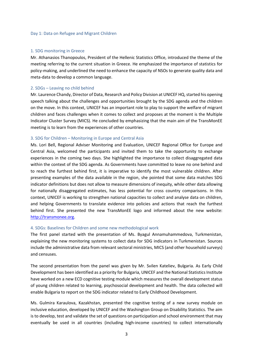#### <span id="page-3-0"></span>Day 1: Data on Refugee and Migrant Children

#### <span id="page-3-1"></span>1. SDG monitoring in Greece

Mr. Athanasios Thanopoulos, President of the Hellenic Statistics Office, introduced the theme of the meeting referring to the current situation in Greece. He emphasized the importance of statistics for policy-making, and underlined the need to enhance the capacity of NSOs to generate quality data and meta-data to develop a common language.

#### <span id="page-3-2"></span>2. SDGs – Leaving no child behind

Mr. Laurence Chandy, Director of Data, Research and Policy Division at UNICEF HQ, started his opening speech talking about the challenges and opportunities brought by the SDG agenda and the children on the move. In this context, UNICEF has an important role to play to support the welfare of migrant children and faces challenges when it comes to collect and proposes at the moment is the Multiple Indicator Cluster Survey (MICS). He concluded by emphasizing that the main aim of the TransMonEE meeting is to learn from the experiences of other countries.

#### <span id="page-3-3"></span>3. SDG for Children – Monitoring in Europe and Central Asia

Ms. Lori Bell, Regional Adviser Monitoring and Evaluation, UNICEF Regional Office for Europe and Central Asia, welcomed the participants and invited them to take the opportunity to exchange experiences in the coming two days. She highlighted the importance to collect disaggregated data within the context of the SDG agenda. As Governments have committed to leave no one behind and to reach the furthest behind first, it is imperative to identify the most vulnerable children. After presenting examples of the data available in the region, she pointed that some data matches SDG indicator definitions but does not allow to measure dimensions of inequity, while other data allowing for nationally disaggregated estimates, has less potential for cross country comparisons. In this context, UNICEF is working to strengthen national capacities to collect and analyse data on children, and helping Governments to translate evidence into policies and actions that reach the furthest behind first. She presented the new TransMonEE logo and informed about the new website: [http://transmonee.org.](http://transmonee.org/)

#### <span id="page-3-4"></span>4. SDGs: Baselines for Children and some new methodological work

The first panel started with the presentation of Ms. Byagul Annamuhammedova, Turkmenistan, explaining the new monitoring systems to collect data for SDG indicators in Turkmenistan. Sources include the administrative data from relevant sectoral ministries, MICS (and other household surveys) and censuses.

The second presentation from the panel was given by Mr. Svilen Kateliev, Bulgaria. As Early Child Development has been identified as a priority for Bulgaria, UNICEF and the National Statistics Institute have worked on a new ECD cognitive testing module which measures the overall development status of young children related to learning, psychosocial development and health. The data collected will enable Bulgaria to report on the SDG indicator related to Early Childhood Development.

Ms. Gulmira Karaulova, Kazakhstan, presented the cognitive testing of a new survey module on inclusive education, developed by UNICEF and the Washington Group on Disability Statistics. The aim is to develop, test and validate the set of questions on participation and school environment that may eventually be used in all countries (including high-income countries) to collect internationally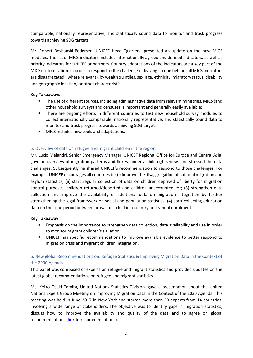comparable, nationally representative, and statistically sound data to monitor and track progress towards achieving SDG targets.

Mr. Robert Beshanski-Pedersen, UNICEF Head Quarters, presented an update on the new MICS modules. The list of MICS indicators includes internationally agreed and defined indicators, as well as priority indicators for UNICEF or partners. Country adaptations of the indicators are a key part of the MICS customisation. In order to respond to the challenge of leaving no one behind, all MICS indicators are disaggregated, (where relevant), by wealth quintiles, sex, age, ethnicity, migratory status, disability and geographic location, or other characteristics.

## **Key Takeaways**:

- The use of different sources, including administrative data from relevant ministries, MICS (and other household surveys) and censuses is important and generally easily available;
- There are ongoing efforts in different countries to test new household survey modules to collect internationally comparable, nationally representative, and statistically sound data to monitor and track progress towards achieving SDG targets;
- MICS includes new tools and adaptations.

#### <span id="page-4-0"></span>5. Overview of data on refugee and migrant children in the region.

Mr. Lucio Melandri, Senior Emergency Manager, UNICEF Regional Office for Europe and Central Asia, gave an overview of migration patterns and fluxes, under a child rights view, and stressed the data challenges. Subsequently he shared UNICEF's recommendation to respond to those challenges. For example, UNICEF encourages all countries to: (i) improve the disaggregation of national migration and asylum statistics; (ii) start regular collection of data on children deprived of liberty for migration control purposes, children returned/deported and children unaccounted for; (3) strengthen data collection and improve the availability of additional data on migration integration by further strengthening the legal framework on social and population statistics; (4) start collecting education data on the time period between arrival of a child in a country and school enrolment.

#### **Key Takeaway:**

- Emphasis on the importance to strengthen data collection, data availability and use in order to monitor migrant children's situation.
- UNICEF has specific recommendations to improve available evidence to better respond to migration crisis and migrant children integration.

## <span id="page-4-1"></span>6. New global Recommendations on: Refugee Statistics & Improving Migration Data in the Context of the 2030 Agenda

This panel was composed of experts on refugee and migrant statistics and provided updates on the latest global recommendations on refugee and migrant statistics.

Ms. Keiko Osaki Tomita, United Nations Statistics Division, gave a presentation about the United Nations Expert Group Meeting on Improving Migration Data in the Context of the 2030 Agenda. This meeting was held in June 2017 in New York and starred more than 50 experts from 14 countries, involving a wide range of stakeholders. The objective was to identify gaps in migration statistics; discuss how to improve the availability and quality of the data and to agree on global recommendations [\(link](https://unstats.un.org/unsd/demographic-social/meetings/2017/new-york--egm-migration-data/EGM%20Recommendations_FINAL.pdf) to recommendations).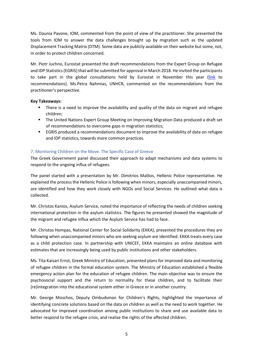Ms. Daunia Pavone, IOM, commented from the point of view of the practitioner. She presented the tools from IOM to answer the data challenges brought up by migration such as the updated Displacement Tracking Matrix (DTM). Some data are publicly available on their website but some, not, in order to protect children concerned.

Mr. Piotr Juchno, Eurostat presented the draft recommendations from the Expert Group on Refugee and IDP Statistics (EGRIS) that will be submitted for approval in March 2018. He invited the participants to take part in the global consultations held by Eurostat in November this year [\(link](http://ec.europa.eu/eurostat/web/expert-group-on-refugee-statistics/documents-presentations) to recommendations). Ms.Petra Nahmias, UNHCR, commented on the recommendations from the practitioner's perspective.

#### **Key Takeaways:**

- There is a need to improve the availability and quality of the data on migrant and refugee children;
- The United Nations Expert Group Meeting on Improving Migration Data produced a draft set of recommendations to overcome gaps in migration statistics;
- **EGRIS produced a recommendations document to improve the availability of data on refugee** and IDP statistics, towards more common practices.

## <span id="page-5-0"></span>7. Monitoring Children on the Move. The Specific Case of Greece

The Greek Government panel discussed their approach to adapt mechanisms and data systems to respond to the ongoing influx of refugees.

The panel started with a presentation by Mr. Dimitrios Mallios, Hellenic Police representative. He explained the process the Hellenic Police is following when minors, especially unaccompanied minors, are identified and how they work closely with NGOs and Social Services. He outlined what data is collected.

Mr. Christos Kanios, Asylum Service, noted the importance of reflecting the needs of children seeking international protection in the asylum statistics. The figures he presented showed the magnitude of the migrant and refugee influx which the Asylum Service has had to face.

Mr. Christos Hompas, National Center for Social Solidarity (EKKA), presented the procedures they are following when unaccompanied minors who are seeking asylum are identified. EKKA treats every case as a child protection case. In partnership with UNICEF, EKKA maintains an online database with estimates that are increasingly being used by public institutions and other stakeholders.

Ms. Tita Kaisari Ernst, Greek Ministry of Education, presented plans for improved data and monitoring of refugee children in the formal education system. The Ministry of Education established a flexible emergency action plan for the education of refugee children. The main objective was to ensure the psychosocial support and the return to normality for these children, and to facilitate their (re)integration into the educational system either in Greece or in another country.

Mr. George Moschos, Deputy Ombudsman for Children's Rights, highlighted the importance of identifying concrete solutions based on the data on children as well as the need to work together. He advocated for improved coordination among public institutions to share and use available data to better respond to the refugee crisis, and realize the rights of the affected children.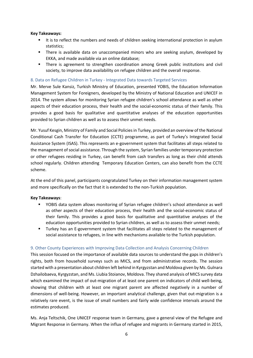#### **Key Takeaways:**

- It is to reflect the numbers and needs of children seeking international protection in asylum statistics;
- **E** There is available data on unaccompanied minors who are seeking asylum, developed by EKKA, and made available via an online database;
- There is agreement to strengthen coordination among Greek public institutions and civil society, to improve data availability on refugee children and the overall response.

#### <span id="page-6-0"></span>8. Data on Refugee Children in Turkey - Integrated Data towards Targeted Services

Mr. Merve Sule Kansiz, Turkish Ministry of Education, presented YOBIS, the Education Information Management System for Foreigners, developed by the Ministry of National Education and UNICEF in 2014. The system allows for monitoring Syrian refugee children's school attendance as well as other aspects of their education process, their health and the social-economic status of their family. This provides a good basis for qualitative and quantitative analyses of the education opportunities provided to Syrian children as well as to assess their unmet needs.

Mr. Yusuf Kesgin, Ministry of Family and Social Policies in Turkey, provided an overview of the National Conditional Cash Transfer for Education (CCTE) programme, as part of Turkey's Integrated Social Assistance System (ISAS). This represents an e-government system that facilitates all steps related to the management of social assistance. Through the system, Syrian families under temporary protection or other refugees residing in Turkey, can benefit from cash transfers as long as their child attends school regularly. Children attending Temporary Education Centers, can also benefit from the CCTE scheme.

At the end of this panel, participants congratulated Turkey on their information management system and more specifically on the fact that it is extended to the non-Turkish population.

#### **Key Takeaways**:

- YOBIS data system allows monitoring of Syrian refugee children's school attendance as well as other aspects of their education process, their health and the social-economic status of their family. This provides a good basis for qualitative and quantitative analyses of the education opportunities provided to Syrian children, as well as to assess their unmet needs;
- Turkey has an E-government system that facilitates all steps related to the management of social assistance to refugees, in line with mechanisms available to the Turkish population.

#### <span id="page-6-1"></span>9. Other County Experiences with Improving Data Collection and Analysis Concerning Children

This session focused on the importance of available data sources to understand the gaps in children's rights, both from household surveys such as MICS, and from administrative records. The session started with a presentation about children left behind in Kyrgyzstan and Moldova given by Ms. Gulnara Dzhailobaeva, Kyrgyzstan, and Ms. Liubia Stoianov, Moldova. They shared analysis of MICS survey data which examined the impact of out-migration of at least one parent on indicators of child well-being, showing that children with at least one migrant parent are affected negatively in a number of dimensions of well-being. However, an important analytical challenge, given that out-migration is a relatively rare event, is the issue of small numbers and fairly wide confidence intervals around the estimates produced.

Ms. Anja Teltschik, One UNICEF response team in Germany, gave a general view of the Refugee and Migrant Response in Germany. When the influx of refugee and migrants in Germany started in 2015,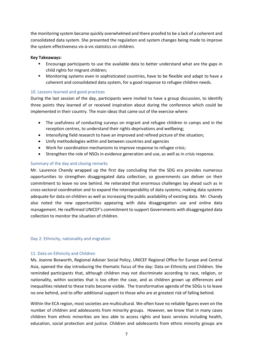the monitoring system became quickly overwhelmed and there proofed to be a lack of a coherent and consolidated data system. She presented the regulation and system changes being made to improve the system effectiveness vis-à-vis statistics on children.

#### **Key Takeaways:**

- Encourage participants to use the available data to better understand what are the gaps in child rights for migrant children;
- Monitoring systems even in sophisticated countries, have to be flexible and adapt to have a coherent and consolidated data system, for a good response to refugee children needs.

## <span id="page-7-0"></span>10. Lessons learned and good practices

During the last session of the day, participants were invited to have a group discussion, to identify three points they learned of or received inspiration about during the conference which could be implemented in their country. The main ideas that came out of the exercise where:

- The usefulness of conducting surveys on migrant and refugee children in camps and in the reception centres, to understand their rights deprivations and wellbeing;
- Intensifying field research to have an improved and refined picture of the situation;
- Unify methodologies within and between countries and agencies
- Work for coordination mechanisms to improve response to refugee crisis;
- Strengthen the role of NSOs in evidence generation and use, as well as in crisis response.

## <span id="page-7-1"></span>Summary of the day and closing remarks

Mr. Laurence Chandy wrapped up the first day concluding that the SDG era provides numerous opportunities to strengthen disaggregated data collection, so governments can deliver on their commitment to leave no one behind. He reiterated that enormous challenges lay ahead such as in cross-sectoral coordination and to expand the interoperability of data systems; making data systems adequate for data on children as well as increasing the public availability of existing data. Mr. Chandy also noted the new opportunities appearing with data disaggregation use and online data management. He reaffirmed UNICEF's commitment to support Governments with disaggregated data collection to monitor the situation of children.

#### <span id="page-7-2"></span>Day 2: Ethnicity, nationality and migration

## <span id="page-7-3"></span>11. Data on Ethnicity and Children

Ms. Joanne Bosworth, Regional Adviser Social Policy, UNICEF Regional Office for Europe and Central Asia, opened the day introducing the thematic focus of the day: Data on Ethnicity and Children. She reminded participants that, although children may not discriminate according to race, religion, or nationality, within societies that is too often the case, and as children grown up differences and inequalities related to these traits become visible. The transformative agenda of the SDGs is to leave no one behind, and to offer additional support to those who are at greatest risk of falling behind.

Within the ECA region, most societies are multicultural. We often have no reliable figures even on the number of children and adolescents from minority groups. However, we know that in many cases children from ethnic minorities are less able to access rights and basic services including health, education, social protection and justice. Children and adolescents from ethnic minority groups are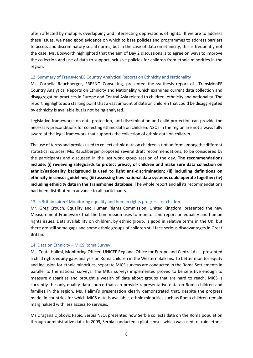often affected by multiple, overlapping and intersecting deprivations of rights. If we are to address these issues, we need good evidence on which to base policies and programmes to address barriers to access and discriminatory social norms, but in the case of data on ethnicity, this is frequently not the case. Ms. Bosworth highlighted that the aim of Day 2 discussions is to agree on ways to improve the collection and use of data to support inclusive policies for children from ethnic minorities in the region.

#### <span id="page-8-0"></span>12. Summary of TransMonEE Country Analytical Reports on Ethnicity and Nationality

Ms. Cornelia Rauchberger, FRESNO Consulting, presented the synthesis report of TransMonEE Country Analytical Reports on Ethnicity and Nationality which examines current data collection and disaggregation practices in Europe and Central Asia related to children, ethnicity and nationality. The report highlights as a starting point that a vast amount of data on children that could be disaggregated by ethnicity is available but is not being analyzed.

Legislative frameworks on data protection, anti-discrimination and child protection can provide the necessary preconditions for collecting ethnic data on children. NSOs in the region are not always fully aware of the legal framework that supports the collection of ethnic data on children.

The use of terms and proxies used to collect ethnic data on children is not uniform among the different statistical sources. Ms. Rauchberger proposed several draft recommendations, to be considered by the participants and discussed in the last work group session of the day. **The recommendations include: (i) reviewing safeguards to protect privacy of children and make sure data collection on ethnic/nationality background is used to fight anti-discrimination; (ii) including definitions on ethnicity in census guidelines; (iii) assessing how national data systems could operate together; (iv) including ethnicity data in the Transmonee database.** The whole report and all its recommendations had been distributed in advance to all participants.

#### <span id="page-8-1"></span>13. Is Britain fairer? Monitoring equality and human rights progress for children

Mr. Greg Crouch, Equality and Human Rights Commission, United Kingdom, presented the new Measurement Framework that the Commission uses to monitor and report on equality and human rights issues. Data availability on children, by ethnic group, is good in relative terms in the UK, but there are still some gaps and some ethnic groups of children still face serious disadvantages in Great Britain.

#### <span id="page-8-2"></span>14. Data on Ethnicity – MICS Roma Survey

Ms. Teuta Halimi, Monitoring Officer, UNICEF Regional Office for Europe and Central Asia, presented a child rights equity gaps analysis on Roma children in the Western Balkans. To better monitor equity and inclusion for ethnic minorities, separate MICS surveys are conducted in the Roma Settlements in parallel to the national surveys. The MICS surveys implemented proved to be sensitive enough to measure disparities and brought a wealth of data about groups that are hard to reach. MICS is currently the only quality data source that can provide representative data on Roma children and families in the region. Ms. Halimi's presentation clearly demonstrated that, despite the progress made, in countries for which MICS data is available, ethnic minorities such as Roma children remain marginalized with less access to services.

Ms Dragana Djokovic Papic, Serbia NSO, presented how Serbia collects data on the Roma population through administrative data. In 2009, Serbia conducted a pilot census which was used to train ethnic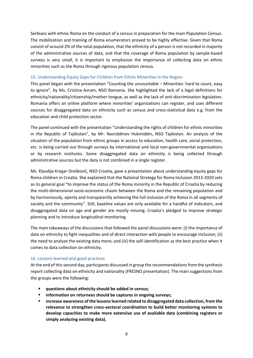Serbians with ethnic Roma on the conduct of a census in preparation for the main Population Census. The mobilization and training of Roma enumerators proved to be highly effective. Given that Roma consist of around 2% of the total population, that the ethnicity of a person is not recorded in majority of the administrative sources of data, and that the coverage of Roma population by sample-based surveys is very small, it is important to emphasize the importance of collecting data on ethnic minorities such as the Roma through rigorous population census.

#### <span id="page-9-0"></span>15. Understanding Equity Gaps for Children from Ethnic Minorities in the Region

This panel began with the presentation "Counting the uncountable – Minorities: hard to count, easy to ignore", by Ms. Cristina Avram, NSO Romania. She highlighted the lack of a legal definitions for ethnicity/nationality/citizenship/mother tongue, as well as the lack of anti-discrimination legislation. Romania offers an online platform where minorities' organizations can register, and uses different sources for disaggregated data on ethnicity such as census and cross-statistical data e.g. from the education and child protection sector.

The panel continued with the presentation "Understanding the rights of children for ethnic minorities in the Republic of Tajikistan", by Mr. Nasriddinov Hukmiddin, NSO Tajikistan. An analysis of the situation of the population from ethnic groups in access to education, health care, social protection, etc. is being carried out through surveys by international and local non-governmental organizations or by research institutes. Some disaggregated data on ethnicity is being collected through administrative sources but the data is not combined in a single register.

Ms. Klaudija Kregar Orešković, NSO Croatia, gave a presentation about understanding equity gaps for Roma children in Croatia. She explained that the National Strategy for Roma Inclusion 2013-2020 sets as its general goal "to improve the status of the Roma minority in the Republic of Croatia by reducing the multi-dimensional socio-economic chasm between the Roma and the remaining population and by harmoniously, openly and transparently achieving the full inclusion of the Roma in all segments of society and the community". Still, baseline values are only available for a handful of indicators, and disaggregated data on age and gender are mostly missing. Croatia's pledged to improve strategic planning and to introduce longitudinal monitoring.

The main takeaways of the discussions that followed the panel discussions were: (i) the importance of data on ethnicity to fight inequalities and of direct interaction with people to encourage inclusion; (ii) the need to analyze the existing data more; and (iii) the self-identification as the best practice when it comes to data collection on ethnicity.

## <span id="page-9-1"></span>16. Lessons learned and good practices

At the end of this second day, participants discussed in group the recommendations from the synthesis report collecting data on ethnicity and nationality (FRESNO presentation). The main suggestions from the groups were the following:

- **questions about ethnicity should be added in census;**
- **information on returnees should be captures in ongoing surveys;**
- **increase awareness of the lessons learned related to disaggregated data collection, from the relevance to strengthen cross-sectoral coordination to build better monitoring systems to develop capacities to make more extensive use of available data (combining registers or simply analyzing existing data).**